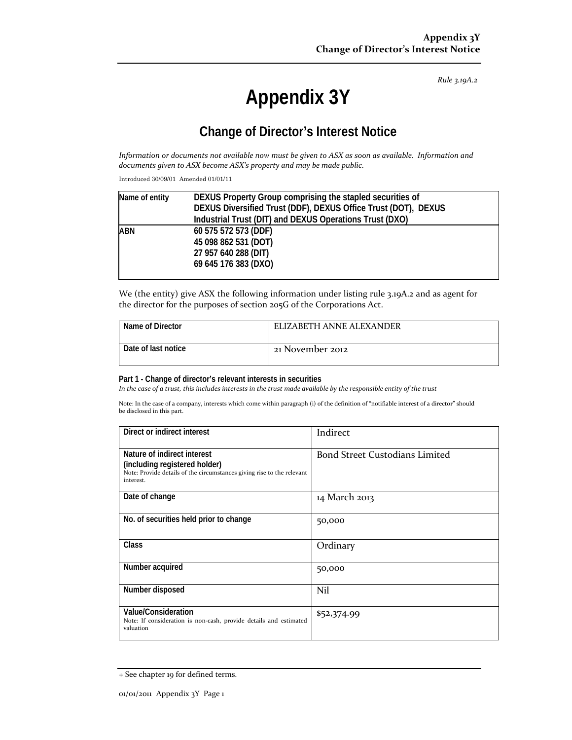*Rule 3.19A.2*

# **Appendix 3Y**

## **Change of Director's Interest Notice**

Information or documents not available now must be given to ASX as soon as available. Information and *documents given to ASX become ASX's property and may be made public.*

Introduced 30/09/01 Amended 01/01/11

| Name of entity | DEXUS Property Group comprising the stapled securities of      |  |
|----------------|----------------------------------------------------------------|--|
|                | DEXUS Diversified Trust (DDF), DEXUS Office Trust (DOT), DEXUS |  |
|                | Industrial Trust (DIT) and DEXUS Operations Trust (DXO)        |  |
| ABN            | 60 575 572 573 (DDF)                                           |  |
|                | 45 098 862 531 (DOT)                                           |  |
|                | 27 957 640 288 (DIT)                                           |  |
|                | 69 645 176 383 (DXO)                                           |  |
|                |                                                                |  |

We (the entity) give ASX the following information under listing rule 3.19A.2 and as agent for the director for the purposes of section 205G of the Corporations Act.

| Name of Director    | ELIZABETH ANNE ALEXANDER |
|---------------------|--------------------------|
| Date of last notice | 21 November 2012         |

#### **Part 1 - Change of director's relevant interests in securities**

In the case of a trust, this includes interests in the trust made available by the responsible entity of the trust

Note: In the case of a company, interests which come within paragraph (i) of the definition of "notifiable interest of a director" should be disclosed in this part.

| Direct or indirect interest                                                                                                                         | Indirect                              |
|-----------------------------------------------------------------------------------------------------------------------------------------------------|---------------------------------------|
| Nature of indirect interest<br>(including registered holder)<br>Note: Provide details of the circumstances giving rise to the relevant<br>interest. | <b>Bond Street Custodians Limited</b> |
| Date of change                                                                                                                                      | 14 March 2013                         |
| No. of securities held prior to change                                                                                                              | 50,000                                |
| Class                                                                                                                                               | Ordinary                              |
| Number acquired                                                                                                                                     | 50,000                                |
| Number disposed                                                                                                                                     | Nil                                   |
| Value/Consideration<br>Note: If consideration is non-cash, provide details and estimated<br>valuation                                               | \$52,374.99                           |

<sup>+</sup> See chapter 19 for defined terms.